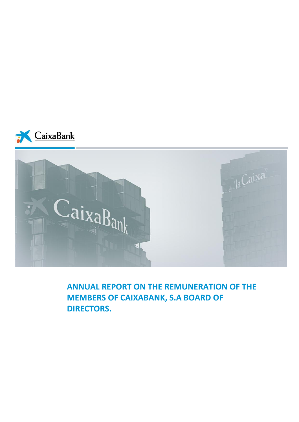



**ANNUAL REPORT ON THE REMUNERATION OF THE MEMBERS OF CAIXABANK, S.A BOARD OF DIRECTORS.**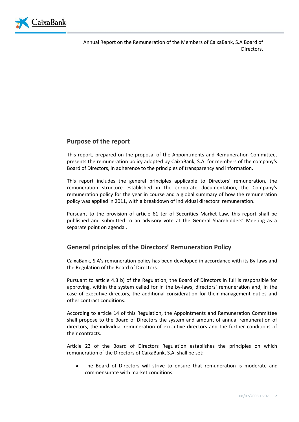

# **Purpose of the report**

This report, prepared on the proposal of the Appointments and Remuneration Committee, presents the remuneration policy adopted by CaixaBank, S.A. for members of the company's Board of Directors, in adherence to the principles of transparency and information.

This report includes the general principles applicable to Directors' remuneration, the remuneration structure established in the corporate documentation, the Company's remuneration policy for the year in course and a global summary of how the remuneration policy was applied in 2011, with a breakdown of individual directors' remuneration.

Pursuant to the provision of article 61 ter of Securities Market Law, this report shall be published and submitted to an advisory vote at the General Shareholders' Meeting as a separate point on agenda .

# **General principles of the Directors' Remuneration Policy**

CaixaBank, S.A's remuneration policy has been developed in accordance with its By-laws and the Regulation of the Board of Directors.

Pursuant to article 4.3 b) of the Regulation, the Board of Directors in full is responsible for approving, within the system called for in the by-laws, directors' remuneration and, in the case of executive directors, the additional consideration for their management duties and other contract conditions.

According to article 14 of this Regulation, the Appointments and Remuneration Committee shall propose to the Board of Directors the system and amount of annual remuneration of directors, the individual remuneration of executive directors and the further conditions of their contracts.

Article 23 of the Board of Directors Regulation establishes the principles on which remuneration of the Directors of CaixaBank, S.A. shall be set:

The Board of Directors will strive to ensure that remuneration is moderate and commensurate with market conditions.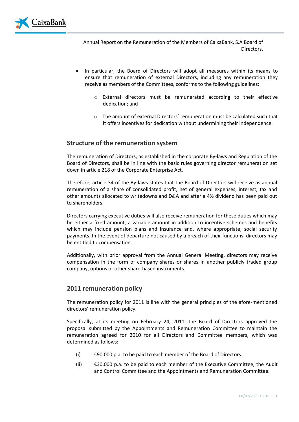

- In particular, the Board of Directors will adopt all measures within its means to ensure that remuneration of external Directors, including any remuneration they receive as members of the Committees, conforms to the following guidelines:
	- o External directors must be remunerated according to their effective dedication; and
	- o The amount of external Directors' remuneration must be calculated such that it offers incentives for dedication without undermining their independence.

### **Structure of the remuneration system**

The remuneration of Directors, as established in the corporate By-laws and Regulation of the Board of Directors, shall be in line with the basic rules governing director remuneration set down in article 218 of the Corporate Enterprise Act.

Therefore, article 34 of the By-laws states that the Board of Directors will receive as annual remuneration of a share of consolidated profit, net of general expenses, interest, tax and other amounts allocated to writedowns and D&A and after a 4% dividend has been paid out to shareholders.

Directors carrying executive duties will also receive remuneration for these duties which may be either a fixed amount, a variable amount in addition to incentive schemes and benefits which may include pension plans and insurance and, where appropriate, social security payments. In the event of departure not caused by a breach of their functions, directors may be entitled to compensation.

Additionally, with prior approval from the Annual General Meeting, directors may receive compensation in the form of company shares or shares in another publicly traded group company, options or other share-based instruments.

#### **2011 remuneration policy**

The remuneration policy for 2011 is line with the general principles of the afore-mentioned directors' remuneration policy.

Specifically, at its meeting on February 24, 2011, the Board of Directors approved the proposal submitted by the Appointments and Remuneration Committee to maintain the remuneration agreed for 2010 for all Directors and Committee members, which was determined as follows:

- (i)  $\epsilon$ 90,000 p.a. to be paid to each member of the Board of Directors.
- (ii)  $\epsilon$ 30,000 p.a. to be paid to each member of the Executive Committee, the Audit and Control Committee and the Appointments and Remuneration Committee.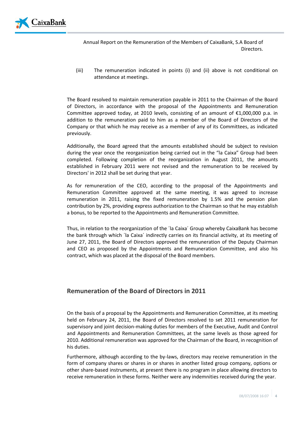

(iii) The remuneration indicated in points (i) and (ii) above is not conditional on attendance at meetings.

The Board resolved to maintain remuneration payable in 2011 to the Chairman of the Board of Directors, in accordance with the proposal of the Appointments and Remuneration Committee approved today, at 2010 levels, consisting of an amount of  $\epsilon$ 1,000,000 p.a. in addition to the remuneration paid to him as a member of the Board of Directors of the Company or that which he may receive as a member of any of its Committees, as indicated previously.

Additionally, the Board agreed that the amounts established should be subject to revision during the year once the reorganization being carried out in the "la Caixa" Group had been completed. Following completion of the reorganization in August 2011, the amounts established in February 2011 were not revised and the remuneration to be received by Directors' in 2012 shall be set during that year.

As for remuneration of the CEO, according to the proposal of the Appointments and Remuneration Committee approved at the same meeting, it was agreed to increase remuneration in 2011, raising the fixed remuneration by 1.5% and the pension plan contribution by 2%, providing express authorization to the Chairman so that he may establish a bonus, to be reported to the Appointments and Remuneration Committee.

Thus, in relation to the reorganization of the ´la Caixa´ Group whereby CaixaBank has become the bank through which ´la Caixa´ indirectly carries on its financial activity, at its meeting of June 27, 2011, the Board of Directors approved the remuneration of the Deputy Chairman and CEO as proposed by the Appointments and Remuneration Committee, and also his contract, which was placed at the disposal of the Board members.

### **Remuneration of the Board of Directors in 2011**

On the basis of a proposal by the Appointments and Remuneration Committee, at its meeting held on February 24, 2011, the Board of Directors resolved to set 2011 remuneration for supervisory and joint decision-making duties for members of the Executive, Audit and Control and Appointments and Remuneration Committees, at the same levels as those agreed for 2010. Additional remuneration was approved for the Chairman of the Board, in recognition of his duties.

Furthermore, although according to the by-laws, directors may receive remuneration in the form of company shares or shares in or shares in another listed group company, options or other share-based instruments, at present there is no program in place allowing directors to receive remuneration in these forms. Neither were any indemnities received during the year.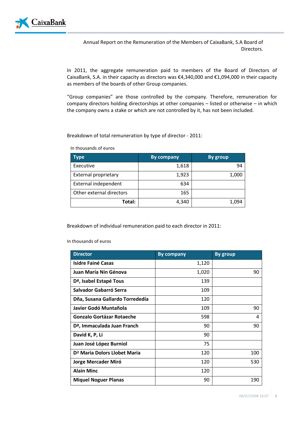

In 2011, the aggregate remuneration paid to members of the Board of Directors of CaixaBank, S.A. in their capacity as directors was €4,340,000 and €1,094,000 in their capacity as members of the boards of other Group companies.

"Group companies" are those controlled by the company. Therefore, remuneration for company directors holding directorships at other companies – listed or otherwise – in which the company owns a stake or which are not controlled by it, has not been included.

Breakdown of total remuneration by type of director - 2011:

In thousands of euros

| Type                        | <b>By company</b> | <b>By group</b> |
|-----------------------------|-------------------|-----------------|
| Executive                   | 1,618             | 94              |
| <b>External proprietary</b> | 1,923             | 1,000           |
| External independent        | 634               |                 |
| Other external directors    | 165               |                 |
| Total:                      | 4,340             | 1,094           |

Breakdown of individual remuneration paid to each director in 2011:

In thousands of euros

| <b>Director</b>                          | <b>By company</b> | <b>By group</b> |
|------------------------------------------|-------------------|-----------------|
| <b>Isidre Fainé Casas</b>                | 1,120             |                 |
| Juan María Nin Génova                    | 1,020             | 90              |
| D <sup>a</sup> , Isabel Estapé Tous      | 139               |                 |
| Salvador Gabarró Serra                   | 109               |                 |
| Dña, Susana Gallardo Torrededía          | 120               |                 |
| Javier Godó Muntañola                    | 109               | 90              |
| <b>Gonzalo Gortázar Rotaeche</b>         | 598               | 4               |
| D <sup>a</sup> , Immaculada Juan Franch  | 90                | 90              |
| David K, P, Li                           | 90                |                 |
| Juan José López Burniol                  | 75                |                 |
| D <sup>a</sup> Maria Dolors Llobet Maria | 120               | 100             |
| Jorge Mercader Miró                      | 120               | 530             |
| <b>Alain Minc</b>                        | 120               |                 |
| <b>Miquel Noguer Planas</b>              | 90                | 190             |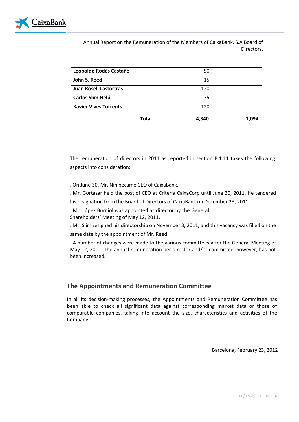

| Total                         | 4,340 | 1,094 |
|-------------------------------|-------|-------|
| <b>Xavier Vives Torrents</b>  | 120   |       |
| Carlos Slim Helú              | 75    |       |
| <b>Juan Rosell Lastortras</b> | 120   |       |
| John S, Reed                  | 15    |       |
| Leopoldo Rodés Castañé        | 90    |       |

The remuneration of directors in 2011 as reported in section B.1.11 takes the following aspects into consideration:

. On June 30, Mr. Nin became CEO of CaixaBank.

. Mr. Gortázar held the post of CEO at Criteria CaixaCorp until June 30, 2011. He tendered

his resignation from the Board of Directors of CaixaBank on December 28, 2011.

. Mr. López Burniol was appointed as director by the General Shareholders' Meeting of May 12, 2011.

. Mr. Slim resigned his directorship on November 3, 2011, and this vacancy was filled on the same date by the appointment of Mr. Reed.

. A number of changes were made to the various committees after the General Meeting of May 12, 2011. The annual remuneration per director and/or committee, however, has not been increased.

# **The Appointments and Remuneration Committee**

In all its decision-making processes, the Appointments and Remuneration Committee has been able to check all significant data against corresponding market data or those of comparable companies, taking into account the size, characteristics and activities of the Company.

Barcelona, February 23, 2012